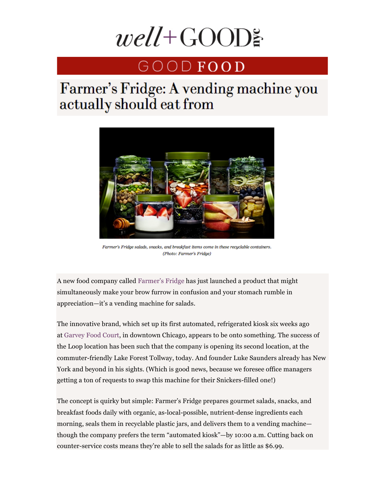# $well + \text{GOOD}$

# GOODFOOD

# Farmer's Fridge: A vending machine you actually should eat from



Farmer's Fridge salads, snacks, and breakfast items come in these recyclable containers. (Photo: Farmer's Fridae)

A new food company called Farmer's Fridge has just launched a product that might simultaneously make your brow furrow in confusion and your stomach rumble in appreciation—it's a vending machine for salads.

The innovative brand, which set up its first automated, refrigerated kiosk six weeks ago at Garvey Food Court, in downtown Chicago, appears to be onto something. The success of the Loop location has been such that the company is opening its second location, at the commuter-friendly Lake Forest Tollway, today. And founder Luke Saunders already has New York and beyond in his sights. (Which is good news, because we foresee office managers getting a ton of requests to swap this machine for their Snickers-filled one!)

The concept is quirky but simple: Farmer's Fridge prepares gourmet salads, snacks, and breakfast foods daily with organic, as-local-possible, nutrient-dense ingredients each morning, seals them in recyclable plastic jars, and delivers them to a vending machine though the company prefers the term "automated kiosk"—by 10:00 a.m. Cutting back on counter-service costs means they're able to sell the salads for as little as \$6.99.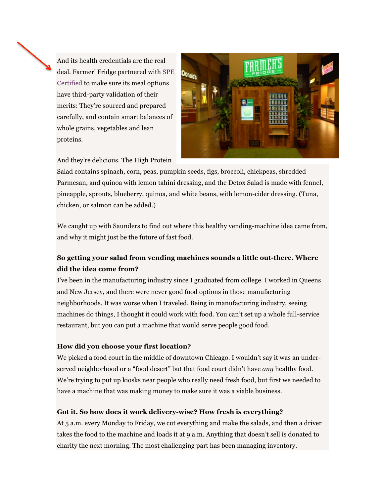And its health credentials are the real deal. Farmer' Fridge partnered with SPE Certified to make sure its meal options have third-party validation of their merits: They're sourced and prepared carefully, and contain smart balances of whole grains, vegetables and lean proteins.



And they're delicious. The High Protein

Salad contains spinach, corn, peas, pumpkin seeds, figs, broccoli, chickpeas, shredded Parmesan, and quinoa with lemon tahini dressing, and the Detox Salad is made with fennel, pineapple, sprouts, blueberry, quinoa, and white beans, with lemon-cider dressing. (Tuna, chicken, or salmon can be added.)

We caught up with Saunders to find out where this healthy vending-machine idea came from, and why it might just be the future of fast food.

## **So getting your salad from vending machines sounds a little out-there. Where did the idea come from?**

I've been in the manufacturing industry since I graduated from college. I worked in Queens and New Jersey, and there were never good food options in those manufacturing neighborhoods. It was worse when I traveled. Being in manufacturing industry, seeing machines do things, I thought it could work with food. You can't set up a whole full-service restaurant, but you can put a machine that would serve people good food.

## **How did you choose your first location?**

We picked a food court in the middle of downtown Chicago. I wouldn't say it was an underserved neighborhood or a "food desert" but that food court didn't have *any* healthy food. We're trying to put up kiosks near people who really need fresh food, but first we needed to have a machine that was making money to make sure it was a viable business.

## **Got it. So how does it work delivery-wise? How fresh is everything?**

At 5 a.m. every Monday to Friday, we cut everything and make the salads, and then a driver takes the food to the machine and loads it at 9 a.m. Anything that doesn't sell is donated to charity the next morning. The most challenging part has been managing inventory.